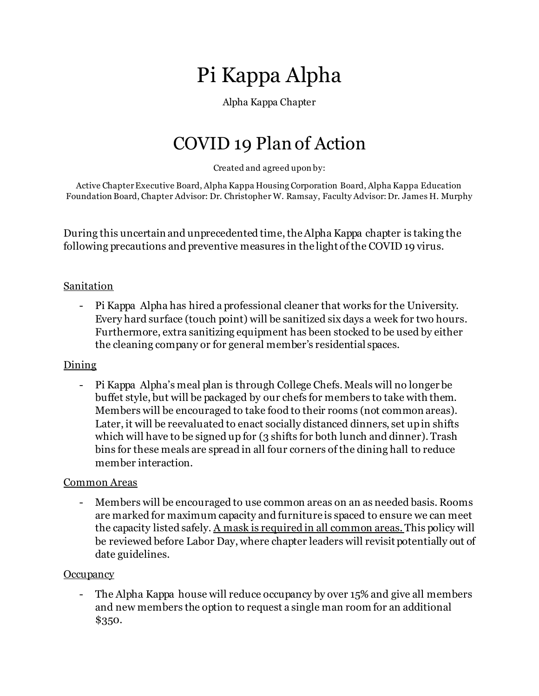# Pi Kappa Alpha

# Alpha Kappa Chapter

# COVID 19 Plan of Action

Created and agreed upon by:

Active Chapter Executive Board, Alpha Kappa Housing Corporation Board, Alpha Kappa Education Foundation Board, Chapter Advisor: Dr. Christopher W. Ramsay, Faculty Advisor: Dr. James H. Murphy

During this uncertain and unprecedented time, the Alpha Kappa chapter is taking the following precautions and preventive measures in the light of the COVID 19 virus.

# Sanitation

- Pi Kappa Alpha has hired a professional cleaner that works for the University. Every hard surface (touch point) will be sanitized six days a week for two hours. Furthermore, extra sanitizing equipment has been stocked to be used by either the cleaning company or for general member's residential spaces.

# Dining

- Pi Kappa Alpha's meal plan is through College Chefs. Meals will no longer be buffet style, but will be packaged by our chefs for members to take with them. Members will be encouraged to take food to their rooms (not common areas). Later, it will be reevaluated to enact socially distanced dinners, set up in shifts which will have to be signed up for (3 shifts for both lunch and dinner). Trash bins for these meals are spread in all four corners of the dining hall to reduce member interaction.

# Common Areas

- Members will be encouraged to use common areas on an as needed basis. Rooms are marked for maximum capacity and furniture is spaced to ensure we can meet the capacity listed safely. A mask is required in all common areas. This policy will be reviewed before Labor Day, where chapter leaders will revisit potentially out of date guidelines.

# **Occupancy**

- The Alpha Kappa house will reduce occupancy by over 15% and give all members and new members the option to request a single man room for an additional \$350.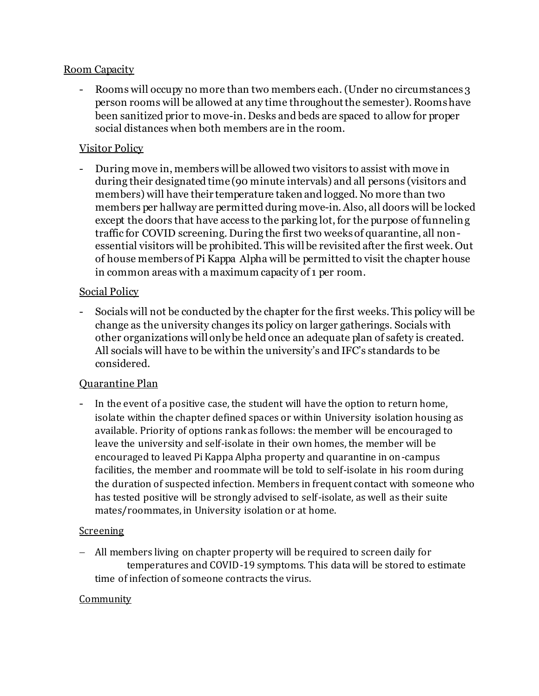#### Room Capacity

- Rooms will occupy no more than two members each. (Under no circumstances 3) person rooms will be allowed at any time throughout the semester). Rooms have been sanitized prior to move-in. Desks and beds are spaced to allow for proper social distances when both members are in the room.

# Visitor Policy

- During move in, members will be allowed two visitors to assist with move in during their designated time (90 minute intervals) and all persons (visitors and members) will have their temperature taken and logged. No more than two members per hallway are permitted during move-in. Also, all doors will be locked except the doors that have access to the parking lot, for the purpose of funneling traffic for COVID screening. During the first two weeks of quarantine, all nonessential visitors will be prohibited. This will be revisited after the first week. Out of house members of Pi Kappa Alpha will be permitted to visit the chapter house in common areas with a maximum capacity of 1 per room.

#### Social Policy

- Socials will not be conducted by the chapter for the first weeks. This policy will be change as the university changes its policy on larger gatherings. Socials with other organizations will only be held once an adequate plan of safety is created. All socials will have to be within the university's and IFC's standards to be considered.

# Quarantine Plan

- In the event of a positive case, the student will have the option to return home, isolate within the chapter defined spaces or within University isolation housing as available. Priority of options rank as follows: the member will be encouraged to leave the university and self-isolate in their own homes, the member will be encouraged to leaved Pi Kappa Alpha property and quarantine in on-campus facilities, the member and roommate will be told to self-isolate in his room during the duration of suspected infection. Members in frequent contact with someone who has tested positive will be strongly advised to self-isolate, as well as their suite mates/roommates, in University isolation or at home.

# Screening

− All members living on chapter property will be required to screen daily for temperatures and COVID-19 symptoms. This data will be stored to estimate time of infection of someone contracts the virus.

#### **Community**